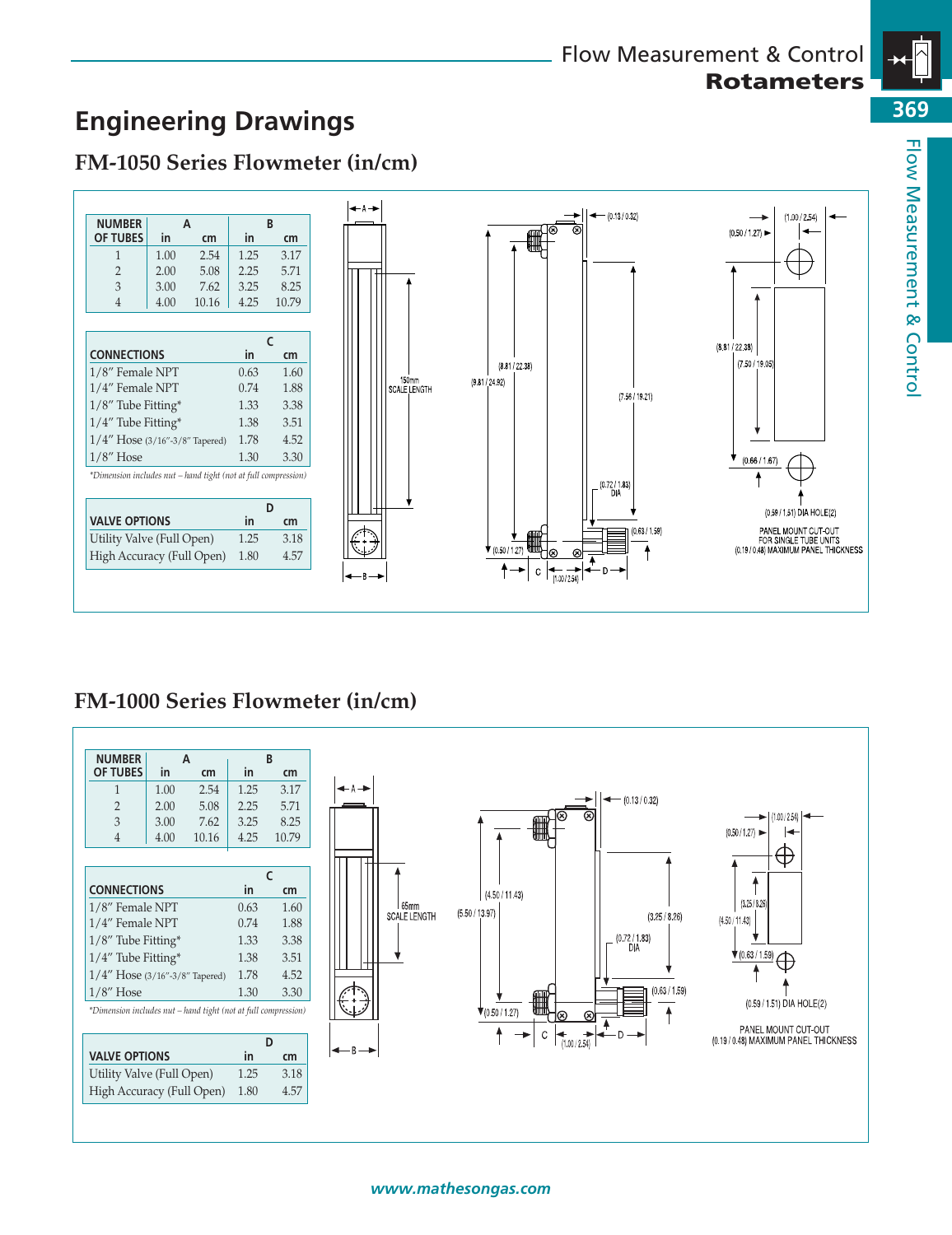

150mm<br>SCALE LENGTH

 $(8.81 / 22.38)$ 

 $(9.81 / 24.92)$ 

 $+4$ 

#### $\begin{array}{c|cc}\n3 & 3.00 & 7.62 & 3.25 & 8.25 \\
4 & 4.00 & 10.16 & 4.25 & 10.79\n\end{array}$  $10.16$ **C CONNECTIONS in cm** 1/8" Female NPT 0.63 1.60<br>1/4" Female NPT 0.74 1.88  $1/4$ " Female NPT 1/8" Tube Fitting\* 1.33 3.38 1/4" Tube Fitting\* 1.38 3.51 1/4" Hose (3/16"-3/8" Tapered) 1.78 4.52 1/8" Hose 1.30 3.30 *\*Dimension includes nut – hand tight (not at full compression)* **D VALVE OPTIONS in cm** Utility Valve (Full Open) 1.25 3.18 High Accuracy (Full Open) 1.80 4.57

**Engineering Drawings**

**NUMBER A B**<br>OF TUBES in **cm** in **OF TUBES in cm in cm** 1 1.00 2.54 1.25 3.17 2 2.00 5.08 2.25 5.71

**FM-1050 Series Flowmeter (in/cm)**



#### **NUMBER A B OF TUBES in cm in cm** 1 1.00 2.54 1.25 3.17  $- (0.13 / 0.32)$ 2 2.00 5.08 2.25 5.71 Q  $(1.00/2.54)$ 3 3.00 7.62 3.25 8.25<br>4 4.00 10.16 4.25 10.79  $(0.50/1.27)$ ┡ 4 4.00 10.16 4.25 10.79  $\oplus$ **C** ↑ **CONNECTIONS in cm**  $(4.50 / 11.43)$  $(3.25/8.26)$  $65mm$ 1/8" Female NPT 0.63 1.60  $(5.50 / 13.97)$ SCALE LENGTH  $(3.25/8.26)$  $(4.50 / 11.43)$ 1/4" Female NPT 0.74 1.88  $(0.72 / 1.83)$ <br>DIA 1/8" Tube Fitting\* 1.33 3.38  $\sqrt{\frac{(0.63/1.59)}{4}}$ 1/4" Tube Fitting\* 1.38 3.51 1/4" Hose (3/16"-3/8" Tapered) 1.78 4.52  $(0.63 / 1.59)$ 1/8" Hose 1.30 3.30  $(0.59 / 1.51)$  DIA HOLE(2) *\*Dimension includes nut – hand tight (not at full compression)*  $\sqrt{(0.50/1.27)}$ ₩₩  $\ddagger$  $\varpi$ PANEL MOUNT CUT-OUT<br>(0.19 / 0.48) MAXIMUM PANEL THICKNESS ↟  $\mathtt{C}$  $\left| \begin{matrix} + & \rightarrow \\ 1.00/2.54 \end{matrix} \right|$ Ð **D** - R **VALVE OPTIONS in cm** Utility Valve (Full Open) 1.25 3.18 High Accuracy (Full Open) 1.80 4.57



 $(1.00 / 2.54)$ 

 $(0.50 / 1.27)$ 

 $(8.81 / 22.38)$  $(7.50 / 19.05)$ 



 $- (0.13 / 0.32)$ 

 $(7.56 / 19.21)$ 

### *www.mathesongas.com*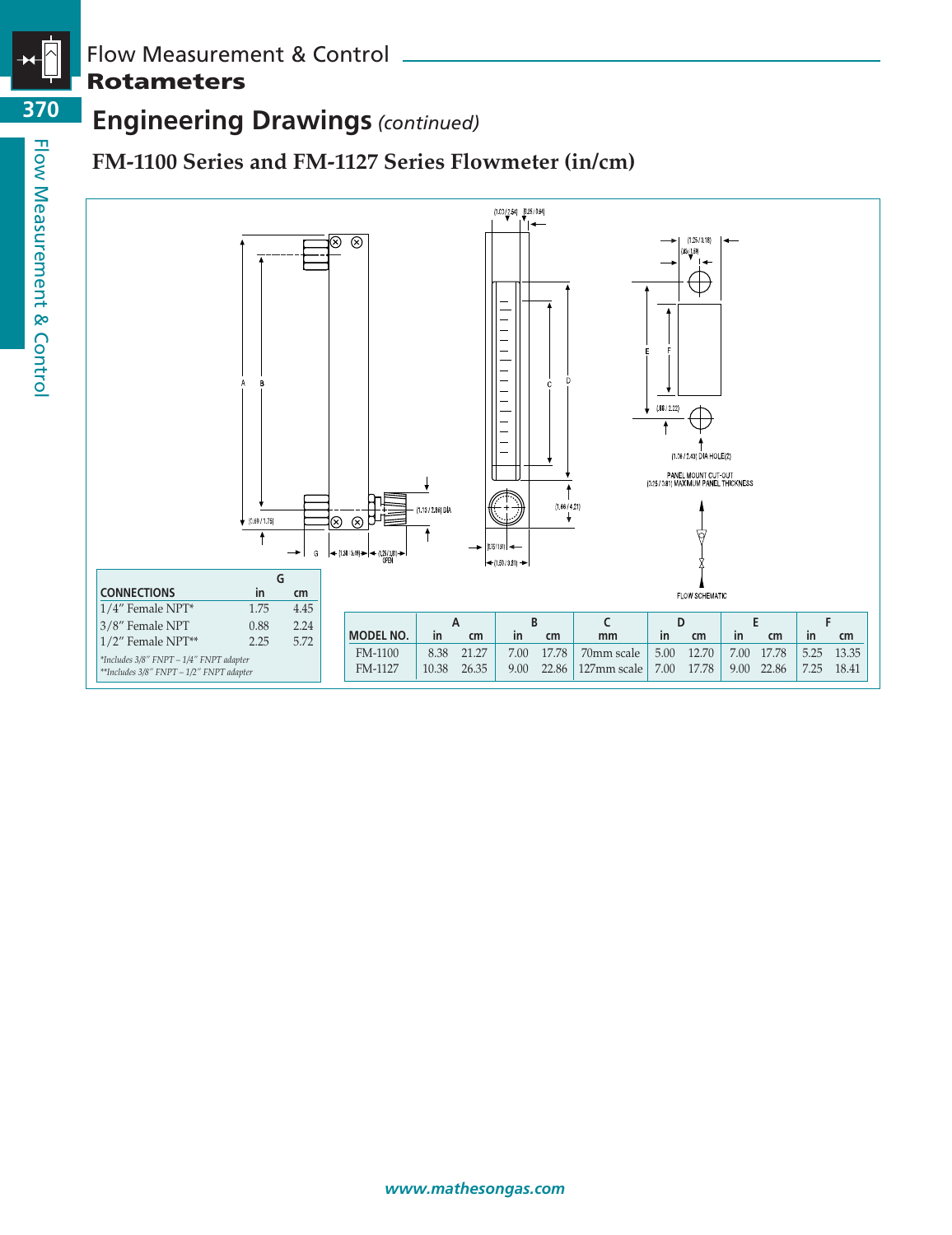

**370**

# Flow Measurement & Control **Rotameters**

# **Engineering Drawings** *(continued)*

## **FM-1100 Series and FM-1127 Series Flowmeter (in/cm)**